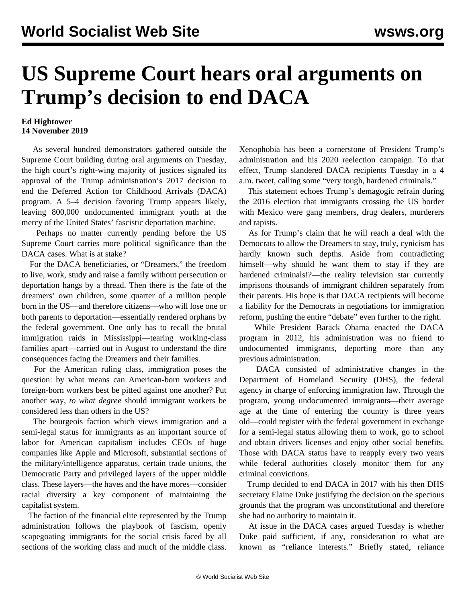## **US Supreme Court hears oral arguments on Trump's decision to end DACA**

## **Ed Hightower 14 November 2019**

 As several hundred demonstrators gathered outside the Supreme Court building during oral arguments on Tuesday, the high court's right-wing majority of justices signaled its approval of the Trump administration's 2017 decision to end the Deferred Action for Childhood Arrivals (DACA) program. A 5–4 decision favoring Trump appears likely, leaving 800,000 undocumented immigrant youth at the mercy of the United States' fascistic deportation machine.

 Perhaps no matter currently pending before the US Supreme Court carries more political significance than the DACA cases. What is at stake?

 For the DACA beneficiaries, or "Dreamers," the freedom to live, work, study and raise a family without persecution or deportation hangs by a thread. Then there is the fate of the dreamers' own children, some quarter of a million people born in the US—and therefore citizens—who will lose one or both parents to deportation—essentially rendered orphans by the federal government. One only has to recall the brutal [immigration raids in Mississippi](/en/articles/2019/08/08/immi-a08.html)—tearing working-class families apart—carried out in August to understand the dire consequences facing the Dreamers and their families.

 For the American ruling class, immigration poses the question: by what means can American-born workers and foreign-born workers best be pitted against one another? Put another way, *to what degree* should immigrant workers be considered less than others in the US?

 The bourgeois faction which views immigration and a semi-legal status for immigrants as an important source of labor for American capitalism includes CEOs of huge companies like Apple and Microsoft, substantial sections of the military/intelligence apparatus, certain trade unions, the Democratic Party and privileged layers of the upper middle class. These layers—the haves and the have mores—consider racial diversity a key component of maintaining the capitalist system.

 The faction of the financial elite represented by the Trump administration follows the playbook of fascism, openly scapegoating immigrants for the social crisis faced by all sections of the working class and much of the middle class. Xenophobia has been a cornerstone of President Trump's administration and his 2020 reelection campaign. To that effect, Trump slandered DACA recipients Tuesday in a 4 a.m. tweet, calling some "very tough, hardened criminals."

 This statement echoes Trump's demagogic refrain during the 2016 election that immigrants crossing the US border with Mexico were gang members, drug dealers, murderers and rapists.

 As for Trump's claim that he will reach a deal with the Democrats to allow the Dreamers to stay, truly, cynicism has hardly known such depths. Aside from contradicting himself—why should he want them to stay if they are hardened criminals!?—the reality television star currently imprisons thousands of immigrant children separately from their parents. His hope is that DACA recipients will become a liability for the Democrats in negotiations for immigration reform, pushing the entire "debate" even further to the right.

 While President Barack Obama enacted the DACA program in 2012, his administration was no friend to undocumented immigrants, deporting more than any previous administration.

 DACA consisted of administrative changes in the Department of Homeland Security (DHS), the federal agency in charge of enforcing immigration law. Through the program, young undocumented immigrants—their average age at the time of entering the country is three years old—could register with the federal government in exchange for a semi-legal status allowing them to work, go to school and obtain drivers licenses and enjoy other social benefits. Those with DACA status have to reapply every two years while federal authorities closely monitor them for any criminal convictions.

 Trump decided to end DACA in 2017 with his then DHS secretary Elaine Duke justifying the decision on the specious grounds that the program was unconstitutional and therefore she had no authority to maintain it.

 At issue in the DACA cases argued Tuesday is whether Duke paid sufficient, if any, consideration to what are known as "reliance interests." Briefly stated, reliance